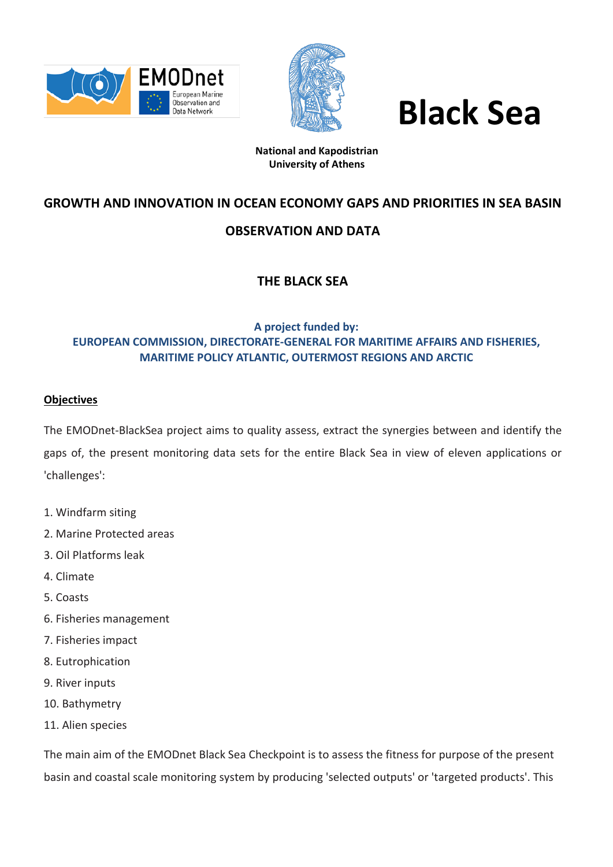



# **Black Sea**

## **National and Kapodistrian University of Athens**

# **GROWTH AND INNOVATION IN OCEAN ECONOMY GAPS AND PRIORITIES IN SEA BASIN**

# **OBSERVATION AND DATA**

# **THE BLACK SEA**

# **A project funded by: EUROPEAN COMMISSION, DIRECTORATE-GENERAL FOR MARITIME AFFAIRS AND FISHERIES, MARITIME POLICY ATLANTIC, OUTERMOST REGIONS AND ARCTIC**

## **Objectives**

The EMODnet-BlackSea project aims to quality assess, extract the synergies between and identify the gaps of, the present monitoring data sets for the entire Black Sea in view of eleven applications or 'challenges':

- 1. Windfarm siting
- 2. Marine Protected areas
- 3. Oil Platforms leak
- 4. Climate
- 5. Coasts
- 6. Fisheries management
- 7. Fisheries impact
- 8. Eutrophication
- 9. River inputs
- 10. Bathymetry
- 11. Alien species

The main aim of the EMODnet Black Sea Checkpoint is to assess the fitness for purpose of the present basin and coastal scale monitoring system by producing 'selected outputs' or 'targeted products'. This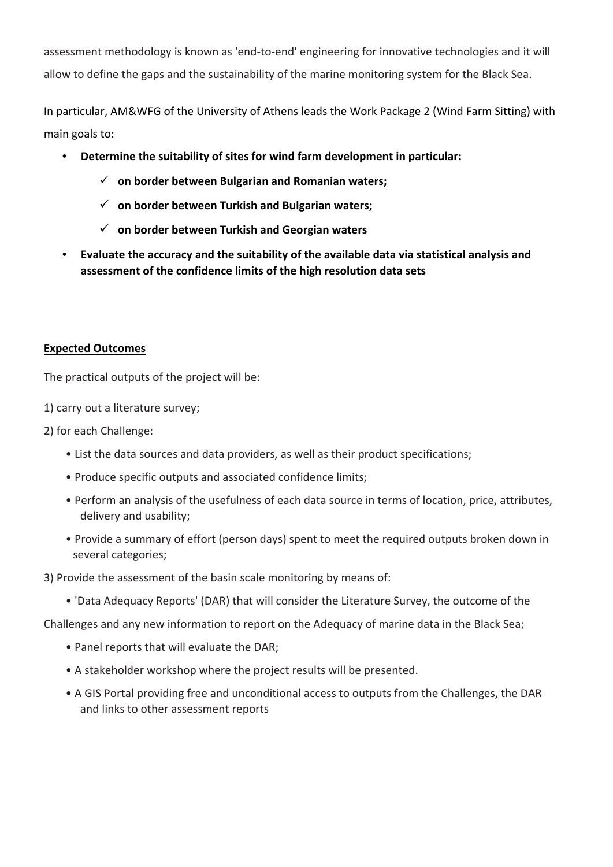assessment methodology is known as 'end-to-end' engineering for innovative technologies and it will allow to define the gaps and the sustainability of the marine monitoring system for the Black Sea.

In particular, AM&WFG of the University of Athens leads the Work Package 2 (Wind Farm Sitting) with main goals to:

- **Determine the suitability of sites for wind farm development in particular:**
	- **on border between Bulgarian and Romanian waters;**
	- **on border between Turkish and Bulgarian waters;**
	- **on border between Turkish and Georgian waters**
- **Evaluate the accuracy and the suitability of the available data via statistical analysis and assessment of the confidence limits of the high resolution data sets**

## **Expected Outcomes**

The practical outputs of the project will be:

- 1) carry out a literature survey;
- 2) for each Challenge:
	- List the data sources and data providers, as well as their product specifications;
	- Produce specific outputs and associated confidence limits;
	- Perform an analysis of the usefulness of each data source in terms of location, price, attributes, delivery and usability;
	- Provide a summary of effort (person days) spent to meet the required outputs broken down in several categories;
- 3) Provide the assessment of the basin scale monitoring by means of:
	- 'Data Adequacy Reports' (DAR) that will consider the Literature Survey, the outcome of the
- Challenges and any new information to report on the Adequacy of marine data in the Black Sea;
	- Panel reports that will evaluate the DAR;
	- A stakeholder workshop where the project results will be presented.
	- A GIS Portal providing free and unconditional access to outputs from the Challenges, the DAR and links to other assessment reports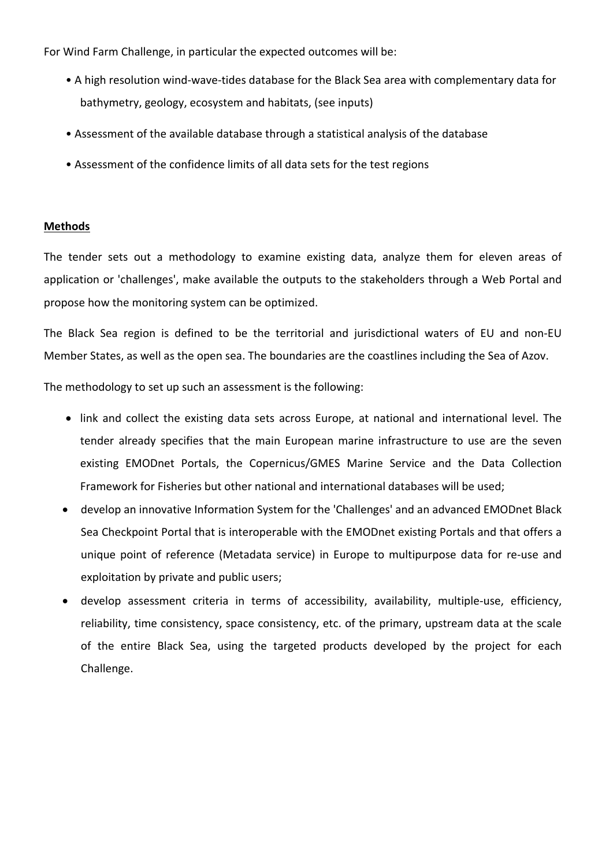For Wind Farm Challenge, in particular the expected outcomes will be:

- A high resolution wind-wave-tides database for the Black Sea area with complementary data for bathymetry, geology, ecosystem and habitats, (see inputs)
- Assessment of the available database through a statistical analysis of the database
- Assessment of the confidence limits of all data sets for the test regions

#### **Methods**

The tender sets out a methodology to examine existing data, analyze them for eleven areas of application or 'challenges', make available the outputs to the stakeholders through a Web Portal and propose how the monitoring system can be optimized.

The Black Sea region is defined to be the territorial and jurisdictional waters of EU and non-EU Member States, as well as the open sea. The boundaries are the coastlines including the Sea of Azov.

The methodology to set up such an assessment is the following:

- link and collect the existing data sets across Europe, at national and international level. The tender already specifies that the main European marine infrastructure to use are the seven existing EMODnet Portals, the Copernicus/GMES Marine Service and the Data Collection Framework for Fisheries but other national and international databases will be used;
- develop an innovative Information System for the 'Challenges' and an advanced EMODnet Black Sea Checkpoint Portal that is interoperable with the EMODnet existing Portals and that offers a unique point of reference (Metadata service) in Europe to multipurpose data for re-use and exploitation by private and public users;
- develop assessment criteria in terms of accessibility, availability, multiple-use, efficiency, reliability, time consistency, space consistency, etc. of the primary, upstream data at the scale of the entire Black Sea, using the targeted products developed by the project for each Challenge.